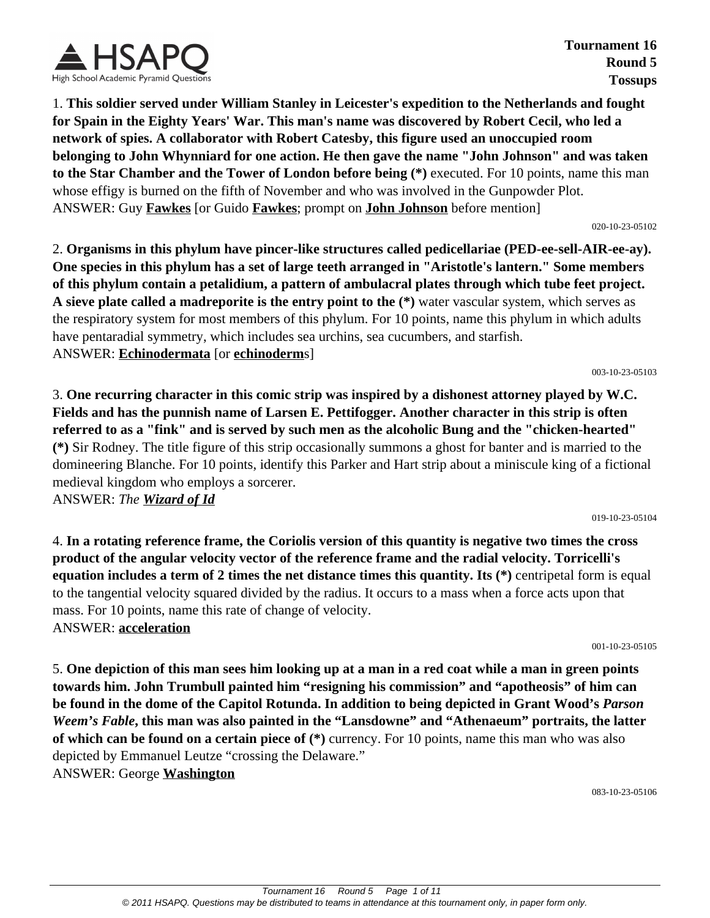

**Tournament 16 Round 5 Tossups**

1. **This soldier served under William Stanley in Leicester's expedition to the Netherlands and fought for Spain in the Eighty Years' War. This man's name was discovered by Robert Cecil, who led a network of spies. A collaborator with Robert Catesby, this figure used an unoccupied room belonging to John Whynniard for one action. He then gave the name "John Johnson" and was taken to the Star Chamber and the Tower of London before being (\*)** executed. For 10 points, name this man whose effigy is burned on the fifth of November and who was involved in the Gunpowder Plot. ANSWER: Guy **Fawkes** [or Guido **Fawkes**; prompt on **John Johnson** before mention]

#### 020-10-23-05102

2. **Organisms in this phylum have pincer-like structures called pedicellariae (PED-ee-sell-AIR-ee-ay). One species in this phylum has a set of large teeth arranged in "Aristotle's lantern." Some members of this phylum contain a petalidium, a pattern of ambulacral plates through which tube feet project. A sieve plate called a madreporite is the entry point to the (\*)** water vascular system, which serves as the respiratory system for most members of this phylum. For 10 points, name this phylum in which adults have pentaradial symmetry, which includes sea urchins, sea cucumbers, and starfish. ANSWER: **Echinodermata** [or **echinoderm**s]

003-10-23-05103

3. **One recurring character in this comic strip was inspired by a dishonest attorney played by W.C. Fields and has the punnish name of Larsen E. Pettifogger. Another character in this strip is often referred to as a "fink" and is served by such men as the alcoholic Bung and the "chicken-hearted" (\*)** Sir Rodney. The title figure of this strip occasionally summons a ghost for banter and is married to the domineering Blanche. For 10 points, identify this Parker and Hart strip about a miniscule king of a fictional medieval kingdom who employs a sorcerer.

ANSWER: *The Wizard of Id*

4. **In a rotating reference frame, the Coriolis version of this quantity is negative two times the cross product of the angular velocity vector of the reference frame and the radial velocity. Torricelli's equation includes a term of 2 times the net distance times this quantity. Its (\*)** centripetal form is equal to the tangential velocity squared divided by the radius. It occurs to a mass when a force acts upon that mass. For 10 points, name this rate of change of velocity. ANSWER: **acceleration**

001-10-23-05105

019-10-23-05104

5. **One depiction of this man sees him looking up at a man in a red coat while a man in green points towards him. John Trumbull painted him "resigning his commission" and "apotheosis" of him can be found in the dome of the Capitol Rotunda. In addition to being depicted in Grant Wood's** *Parson Weem's Fable***, this man was also painted in the "Lansdowne" and "Athenaeum" portraits, the latter of which can be found on a certain piece of (\*)** currency. For 10 points, name this man who was also depicted by Emmanuel Leutze "crossing the Delaware." ANSWER: George **Washington**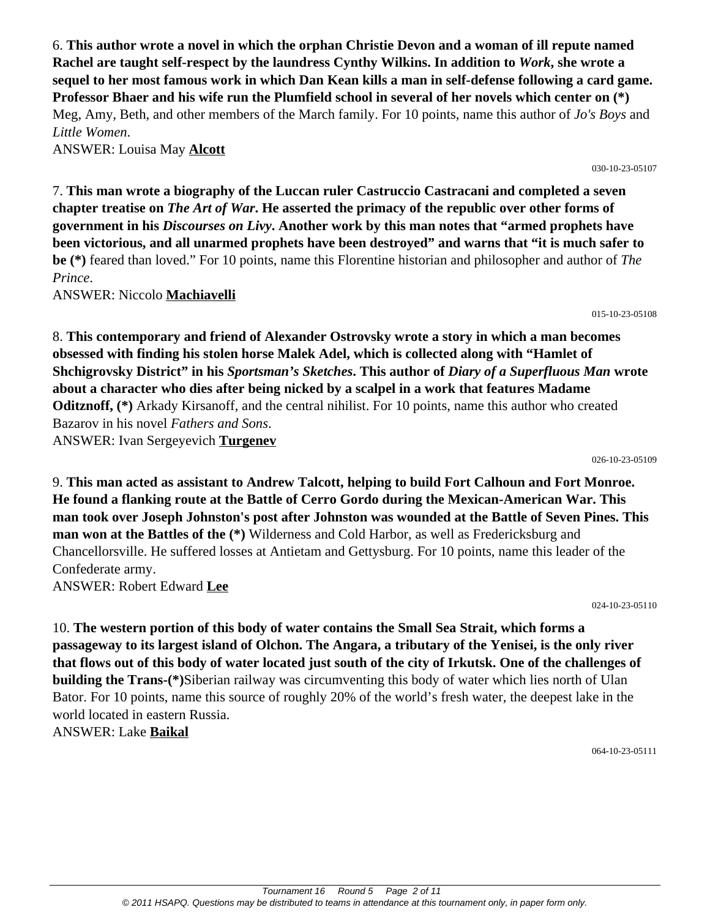6. **This author wrote a novel in which the orphan Christie Devon and a woman of ill repute named Rachel are taught self-respect by the laundress Cynthy Wilkins. In addition to** *Work***, she wrote a sequel to her most famous work in which Dan Kean kills a man in self-defense following a card game. Professor Bhaer and his wife run the Plumfield school in several of her novels which center on (\*)** Meg, Amy, Beth, and other members of the March family. For 10 points, name this author of *Jo's Boys* and *Little Women*.

ANSWER: Louisa May **Alcott**

7. **This man wrote a biography of the Luccan ruler Castruccio Castracani and completed a seven chapter treatise on** *The Art of War***. He asserted the primacy of the republic over other forms of government in his** *Discourses on Livy***. Another work by this man notes that "armed prophets have been victorious, and all unarmed prophets have been destroyed" and warns that "it is much safer to be (\*)** feared than loved." For 10 points, name this Florentine historian and philosopher and author of *The Prince*.

ANSWER: Niccolo **Machiavelli**

8. **This contemporary and friend of Alexander Ostrovsky wrote a story in which a man becomes obsessed with finding his stolen horse Malek Adel, which is collected along with "Hamlet of Shchigrovsky District" in his** *Sportsman's Sketches***. This author of** *Diary of a Superfluous Man* **wrote about a character who dies after being nicked by a scalpel in a work that features Madame Oditznoff, (\*)** Arkady Kirsanoff, and the central nihilist. For 10 points, name this author who created Bazarov in his novel *Fathers and Sons*. ANSWER: Ivan Sergeyevich **Turgenev**

026-10-23-05109

9. **This man acted as assistant to Andrew Talcott, helping to build Fort Calhoun and Fort Monroe. He found a flanking route at the Battle of Cerro Gordo during the Mexican-American War. This man took over Joseph Johnston's post after Johnston was wounded at the Battle of Seven Pines. This man won at the Battles of the (\*)** Wilderness and Cold Harbor, as well as Fredericksburg and Chancellorsville. He suffered losses at Antietam and Gettysburg. For 10 points, name this leader of the Confederate army. ANSWER: Robert Edward **Lee**

024-10-23-05110

10. **The western portion of this body of water contains the Small Sea Strait, which forms a passageway to its largest island of Olchon. The Angara, a tributary of the Yenisei, is the only river that flows out of this body of water located just south of the city of Irkutsk. One of the challenges of building the Trans-(\*)**Siberian railway was circumventing this body of water which lies north of Ulan Bator. For 10 points, name this source of roughly 20% of the world's fresh water, the deepest lake in the world located in eastern Russia.

ANSWER: Lake **Baikal**

064-10-23-05111

015-10-23-05108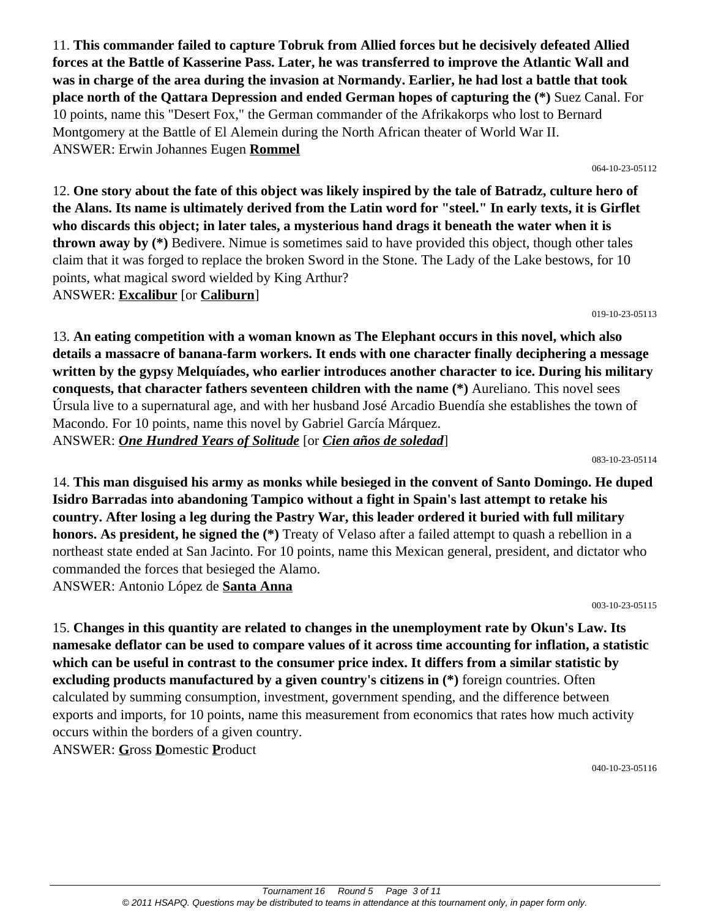11. **This commander failed to capture Tobruk from Allied forces but he decisively defeated Allied forces at the Battle of Kasserine Pass. Later, he was transferred to improve the Atlantic Wall and was in charge of the area during the invasion at Normandy. Earlier, he had lost a battle that took place north of the Qattara Depression and ended German hopes of capturing the (\*)** Suez Canal. For 10 points, name this "Desert Fox," the German commander of the Afrikakorps who lost to Bernard Montgomery at the Battle of El Alemein during the North African theater of World War II. ANSWER: Erwin Johannes Eugen **Rommel**

064-10-23-05112

12. **One story about the fate of this object was likely inspired by the tale of Batradz, culture hero of the Alans. Its name is ultimately derived from the Latin word for "steel." In early texts, it is Girflet who discards this object; in later tales, a mysterious hand drags it beneath the water when it is thrown away by (\*)** Bedivere. Nimue is sometimes said to have provided this object, though other tales claim that it was forged to replace the broken Sword in the Stone. The Lady of the Lake bestows, for 10 points, what magical sword wielded by King Arthur? ANSWER: **Excalibur** [or **Caliburn**]

019-10-23-05113

13. **An eating competition with a woman known as The Elephant occurs in this novel, which also details a massacre of banana-farm workers. It ends with one character finally deciphering a message written by the gypsy Melquíades, who earlier introduces another character to ice. During his military conquests, that character fathers seventeen children with the name (\*)** Aureliano. This novel sees Úrsula live to a supernatural age, and with her husband José Arcadio Buendía she establishes the town of Macondo. For 10 points, name this novel by Gabriel García Márquez. ANSWER: *One Hundred Years of Solitude* [or *Cien años de soledad*]

083-10-23-05114

14. **This man disguised his army as monks while besieged in the convent of Santo Domingo. He duped Isidro Barradas into abandoning Tampico without a fight in Spain's last attempt to retake his country. After losing a leg during the Pastry War, this leader ordered it buried with full military honors. As president, he signed the (\*)** Treaty of Velaso after a failed attempt to quash a rebellion in a northeast state ended at San Jacinto. For 10 points, name this Mexican general, president, and dictator who commanded the forces that besieged the Alamo. ANSWER: Antonio López de **Santa Anna**

003-10-23-05115

15. **Changes in this quantity are related to changes in the unemployment rate by Okun's Law. Its namesake deflator can be used to compare values of it across time accounting for inflation, a statistic which can be useful in contrast to the consumer price index. It differs from a similar statistic by excluding products manufactured by a given country's citizens in (\*)** foreign countries. Often calculated by summing consumption, investment, government spending, and the difference between exports and imports, for 10 points, name this measurement from economics that rates how much activity occurs within the borders of a given country. ANSWER: **G**ross **D**omestic **P**roduct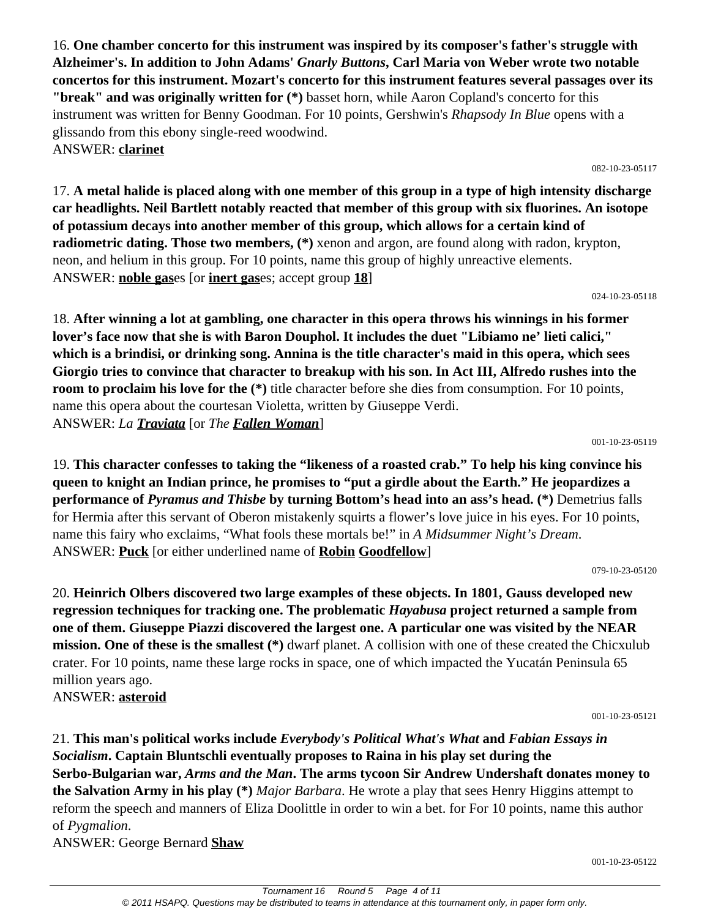Tournament 16 Round 5 Page 4 of 11 © 2011 HSAPQ. Questions may be distributed to teams in attendance at this tournament only, in paper form only.

16. **One chamber concerto for this instrument was inspired by its composer's father's struggle with Alzheimer's. In addition to John Adams'** *Gnarly Buttons***, Carl Maria von Weber wrote two notable concertos for this instrument. Mozart's concerto for this instrument features several passages over its "break" and was originally written for (\*)** basset horn, while Aaron Copland's concerto for this instrument was written for Benny Goodman. For 10 points, Gershwin's *Rhapsody In Blue* opens with a glissando from this ebony single-reed woodwind. ANSWER: **clarinet**

082-10-23-05117

17. **A metal halide is placed along with one member of this group in a type of high intensity discharge car headlights. Neil Bartlett notably reacted that member of this group with six fluorines. An isotope of potassium decays into another member of this group, which allows for a certain kind of radiometric dating. Those two members,** (\*) xenon and argon, are found along with radon, krypton, neon, and helium in this group. For 10 points, name this group of highly unreactive elements. ANSWER: **noble gas**es [or **inert gas**es; accept group **18**]

024-10-23-05118

18. **After winning a lot at gambling, one character in this opera throws his winnings in his former lover's face now that she is with Baron Douphol. It includes the duet "Libiamo ne' lieti calici," which is a brindisi, or drinking song. Annina is the title character's maid in this opera, which sees Giorgio tries to convince that character to breakup with his son. In Act III, Alfredo rushes into the room to proclaim his love for the**  $(*)$  title character before she dies from consumption. For 10 points, name this opera about the courtesan Violetta, written by Giuseppe Verdi. ANSWER: *La Traviata* [or *The Fallen Woman*]

001-10-23-05119

19. **This character confesses to taking the "likeness of a roasted crab." To help his king convince his queen to knight an Indian prince, he promises to "put a girdle about the Earth." He jeopardizes a performance of** *Pyramus and Thisbe* **by turning Bottom's head into an ass's head. (\*)** Demetrius falls for Hermia after this servant of Oberon mistakenly squirts a flower's love juice in his eyes. For 10 points, name this fairy who exclaims, "What fools these mortals be!" in *A Midsummer Night's Dream*. ANSWER: **Puck** [or either underlined name of **Robin Goodfellow**]

079-10-23-05120

20. **Heinrich Olbers discovered two large examples of these objects. In 1801, Gauss developed new regression techniques for tracking one. The problematic** *Hayabusa* **project returned a sample from one of them. Giuseppe Piazzi discovered the largest one. A particular one was visited by the NEAR mission. One of these is the smallest (\*)** dwarf planet. A collision with one of these created the Chicxulub crater. For 10 points, name these large rocks in space, one of which impacted the Yucatán Peninsula 65 million years ago. ANSWER: **asteroid**

001-10-23-05121

001-10-23-05122

21. **This man's political works include** *Everybody's Political What's What* **and** *Fabian Essays in Socialism***. Captain Bluntschli eventually proposes to Raina in his play set during the Serbo-Bulgarian war,** *Arms and the Man***. The arms tycoon Sir Andrew Undershaft donates money to the Salvation Army in his play (\*)** *Major Barbara*. He wrote a play that sees Henry Higgins attempt to reform the speech and manners of Eliza Doolittle in order to win a bet. for For 10 points, name this author of *Pygmalion*.

ANSWER: George Bernard **Shaw**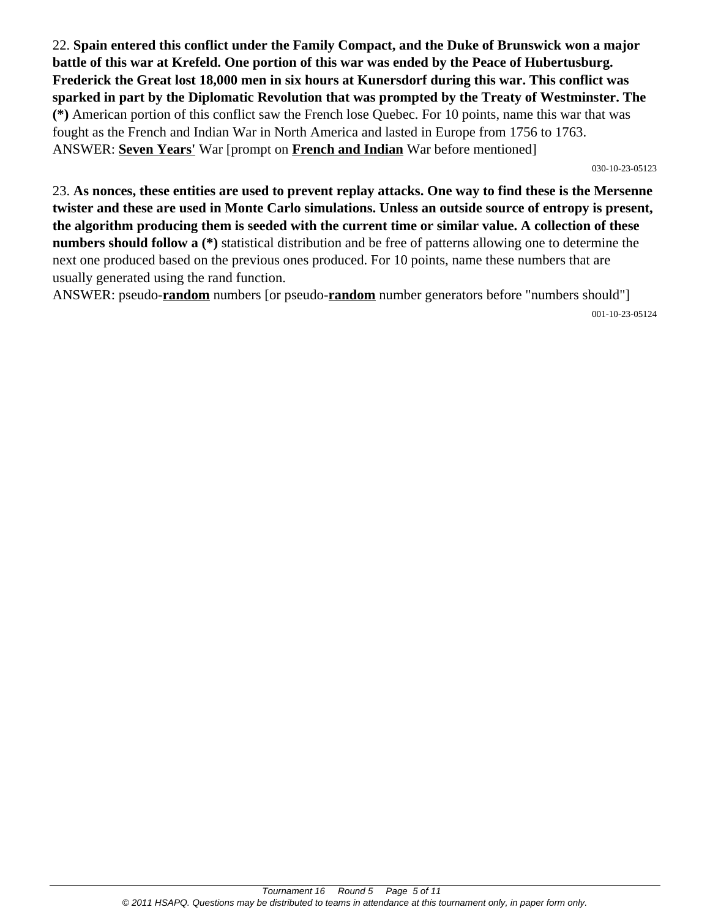22. **Spain entered this conflict under the Family Compact, and the Duke of Brunswick won a major battle of this war at Krefeld. One portion of this war was ended by the Peace of Hubertusburg. Frederick the Great lost 18,000 men in six hours at Kunersdorf during this war. This conflict was sparked in part by the Diplomatic Revolution that was prompted by the Treaty of Westminster. The (\*)** American portion of this conflict saw the French lose Quebec. For 10 points, name this war that was fought as the French and Indian War in North America and lasted in Europe from 1756 to 1763. ANSWER: **Seven Years'** War [prompt on **French and Indian** War before mentioned]

030-10-23-05123

23. **As nonces, these entities are used to prevent replay attacks. One way to find these is the Mersenne twister and these are used in Monte Carlo simulations. Unless an outside source of entropy is present, the algorithm producing them is seeded with the current time or similar value. A collection of these numbers should follow a (\*)** statistical distribution and be free of patterns allowing one to determine the next one produced based on the previous ones produced. For 10 points, name these numbers that are usually generated using the rand function.

ANSWER: pseudo-**random** numbers [or pseudo-**random** number generators before "numbers should"] 001-10-23-05124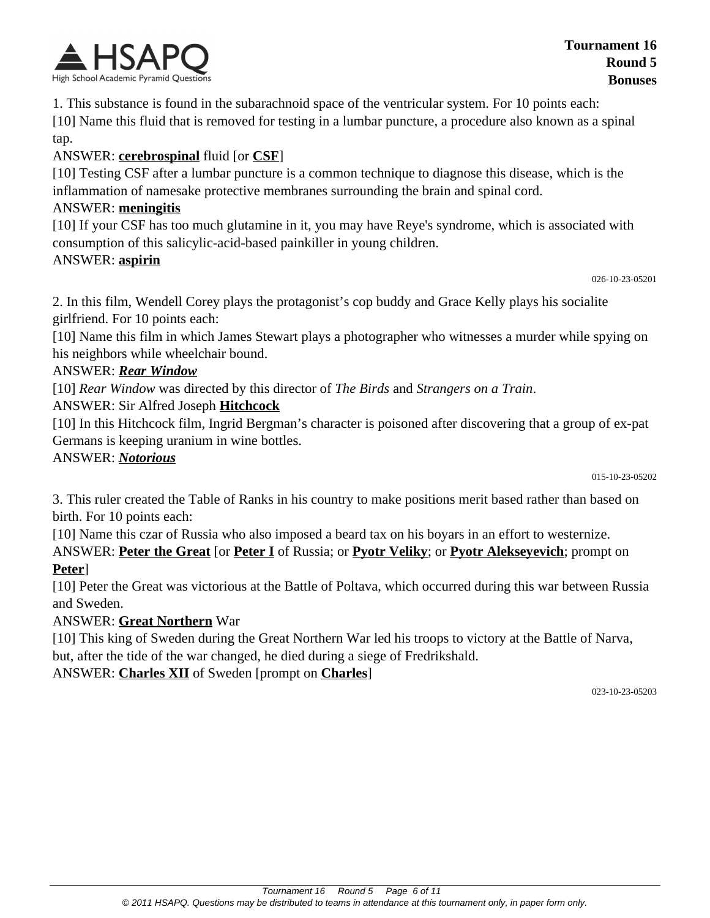

1. This substance is found in the subarachnoid space of the ventricular system. For 10 points each:

[10] Name this fluid that is removed for testing in a lumbar puncture, a procedure also known as a spinal tap.

#### ANSWER: **cerebrospinal** fluid [or **CSF**]

[10] Testing CSF after a lumbar puncture is a common technique to diagnose this disease, which is the inflammation of namesake protective membranes surrounding the brain and spinal cord.

#### ANSWER: **meningitis**

[10] If your CSF has too much glutamine in it, you may have Reye's syndrome, which is associated with consumption of this salicylic-acid-based painkiller in young children.

#### ANSWER: **aspirin**

```
026-10-23-05201
```
2. In this film, Wendell Corey plays the protagonist's cop buddy and Grace Kelly plays his socialite girlfriend. For 10 points each:

[10] Name this film in which James Stewart plays a photographer who witnesses a murder while spying on his neighbors while wheelchair bound.

#### ANSWER: *Rear Window*

[10] *Rear Window* was directed by this director of *The Birds* and *Strangers on a Train*.

ANSWER: Sir Alfred Joseph **Hitchcock**

[10] In this Hitchcock film, Ingrid Bergman's character is poisoned after discovering that a group of ex-pat Germans is keeping uranium in wine bottles.

#### ANSWER: *Notorious*

015-10-23-05202

3. This ruler created the Table of Ranks in his country to make positions merit based rather than based on birth. For 10 points each:

[10] Name this czar of Russia who also imposed a beard tax on his boyars in an effort to westernize.

ANSWER: **Peter the Great** [or **Peter I** of Russia; or **Pyotr Veliky**; or **Pyotr Alekseyevich**; prompt on **Peter**]

[10] Peter the Great was victorious at the Battle of Poltava, which occurred during this war between Russia and Sweden.

#### ANSWER: **Great Northern** War

[10] This king of Sweden during the Great Northern War led his troops to victory at the Battle of Narva, but, after the tide of the war changed, he died during a siege of Fredrikshald.

ANSWER: **Charles XII** of Sweden [prompt on **Charles**]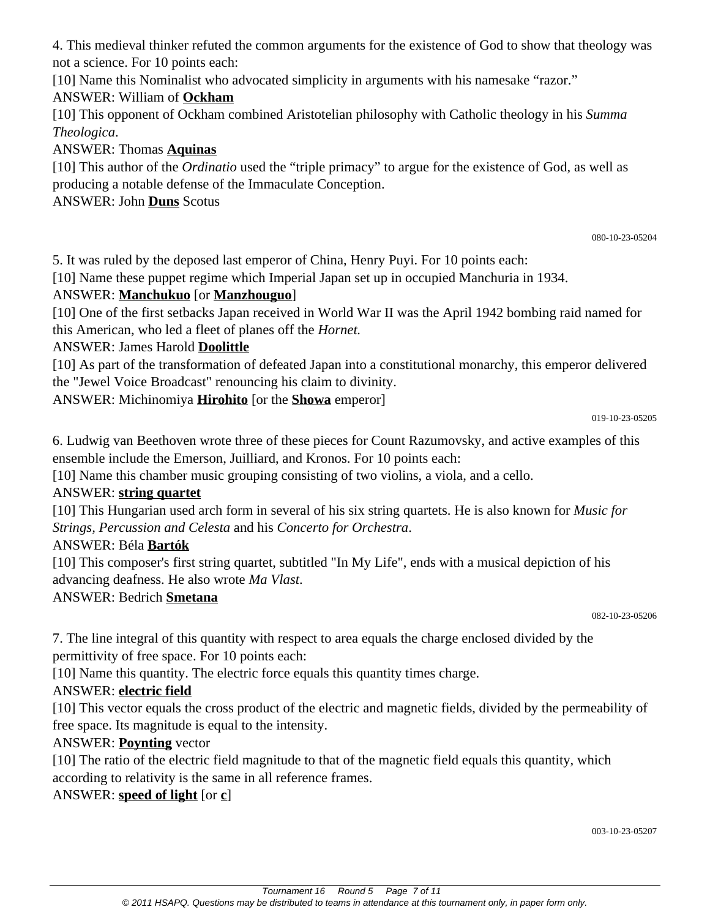4. This medieval thinker refuted the common arguments for the existence of God to show that theology was not a science. For 10 points each:

[10] Name this Nominalist who advocated simplicity in arguments with his namesake "razor."

## ANSWER: William of **Ockham**

[10] This opponent of Ockham combined Aristotelian philosophy with Catholic theology in his *Summa Theologica*.

ANSWER: Thomas **Aquinas**

[10] This author of the *Ordinatio* used the "triple primacy" to argue for the existence of God, as well as producing a notable defense of the Immaculate Conception.

ANSWER: John **Duns** Scotus

080-10-23-05204

5. It was ruled by the deposed last emperor of China, Henry Puyi. For 10 points each:

[10] Name these puppet regime which Imperial Japan set up in occupied Manchuria in 1934.

## ANSWER: **Manchukuo** [or **Manzhouguo**]

[10] One of the first setbacks Japan received in World War II was the April 1942 bombing raid named for this American, who led a fleet of planes off the *Hornet.*

ANSWER: James Harold **Doolittle**

[10] As part of the transformation of defeated Japan into a constitutional monarchy, this emperor delivered the "Jewel Voice Broadcast" renouncing his claim to divinity.

ANSWER: Michinomiya **Hirohito** [or the **Showa** emperor]

019-10-23-05205

6. Ludwig van Beethoven wrote three of these pieces for Count Razumovsky, and active examples of this ensemble include the Emerson, Juilliard, and Kronos. For 10 points each:

[10] Name this chamber music grouping consisting of two violins, a viola, and a cello.

## ANSWER: **string quartet**

[10] This Hungarian used arch form in several of his six string quartets. He is also known for *Music for Strings, Percussion and Celesta* and his *Concerto for Orchestra*.

## ANSWER: Béla **Bartók**

[10] This composer's first string quartet, subtitled "In My Life", ends with a musical depiction of his advancing deafness. He also wrote *Ma Vlast*.

ANSWER: Bedrich **Smetana**

082-10-23-05206

7. The line integral of this quantity with respect to area equals the charge enclosed divided by the permittivity of free space. For 10 points each:

[10] Name this quantity. The electric force equals this quantity times charge.

## ANSWER: **electric field**

[10] This vector equals the cross product of the electric and magnetic fields, divided by the permeability of free space. Its magnitude is equal to the intensity.

## ANSWER: **Poynting** vector

[10] The ratio of the electric field magnitude to that of the magnetic field equals this quantity, which according to relativity is the same in all reference frames.

ANSWER: **speed of light** [or **c**]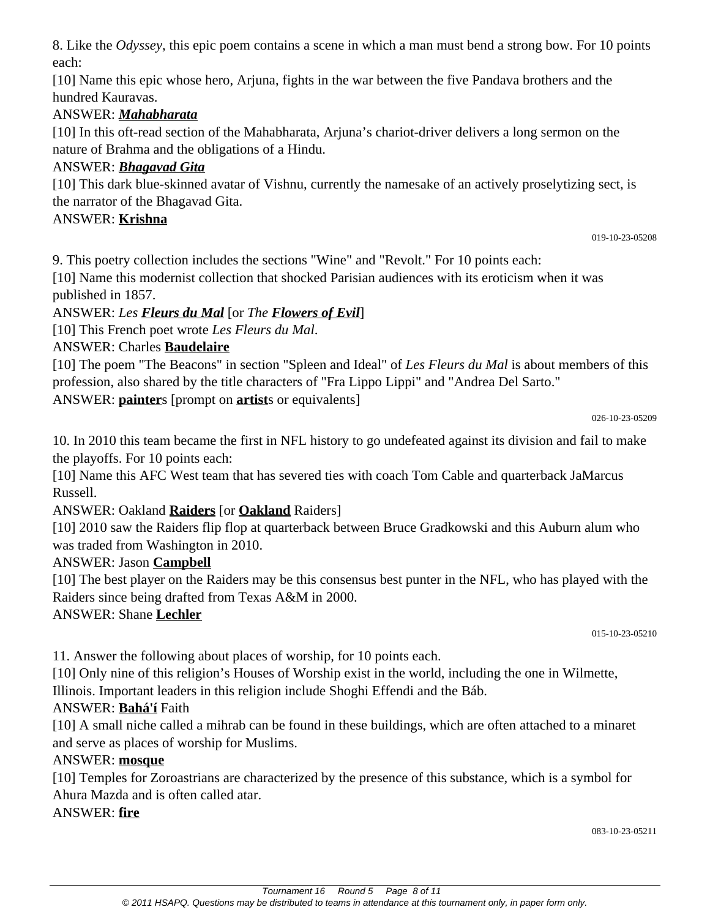8. Like the *Odyssey*, this epic poem contains a scene in which a man must bend a strong bow. For 10 points each:

[10] Name this epic whose hero, Arjuna, fights in the war between the five Pandava brothers and the hundred Kauravas.

#### ANSWER: *Mahabharata*

[10] In this oft-read section of the Mahabharata, Arjuna's chariot-driver delivers a long sermon on the nature of Brahma and the obligations of a Hindu.

## ANSWER: *Bhagavad Gita*

[10] This dark blue-skinned avatar of Vishnu, currently the namesake of an actively proselytizing sect, is the narrator of the Bhagavad Gita.

#### ANSWER: **Krishna**

019-10-23-05208

9. This poetry collection includes the sections "Wine" and "Revolt." For 10 points each:

[10] Name this modernist collection that shocked Parisian audiences with its eroticism when it was published in 1857.

ANSWER: *Les Fleurs du Mal* [or *The Flowers of Evil*]

[10] This French poet wrote *Les Fleurs du Mal*.

## ANSWER: Charles **Baudelaire**

[10] The poem "The Beacons" in section "Spleen and Ideal" of *Les Fleurs du Mal* is about members of this profession, also shared by the title characters of "Fra Lippo Lippi" and "Andrea Del Sarto." ANSWER: **painter**s [prompt on **artist**s or equivalents]

026-10-23-05209

10. In 2010 this team became the first in NFL history to go undefeated against its division and fail to make the playoffs. For 10 points each:

[10] Name this AFC West team that has severed ties with coach Tom Cable and quarterback JaMarcus Russell.

## ANSWER: Oakland **Raiders** [or **Oakland** Raiders]

[10] 2010 saw the Raiders flip flop at quarterback between Bruce Gradkowski and this Auburn alum who was traded from Washington in 2010.

#### ANSWER: Jason **Campbell**

[10] The best player on the Raiders may be this consensus best punter in the NFL, who has played with the Raiders since being drafted from Texas A&M in 2000.

#### ANSWER: Shane **Lechler**

015-10-23-05210

11. Answer the following about places of worship, for 10 points each.

[10] Only nine of this religion's Houses of Worship exist in the world, including the one in Wilmette,

Illinois. Important leaders in this religion include Shoghi Effendi and the Báb.

## ANSWER: **Bahá'í** Faith

[10] A small niche called a mihrab can be found in these buildings, which are often attached to a minaret and serve as places of worship for Muslims.

#### ANSWER: **mosque**

[10] Temples for Zoroastrians are characterized by the presence of this substance, which is a symbol for Ahura Mazda and is often called atar.

ANSWER: **fire**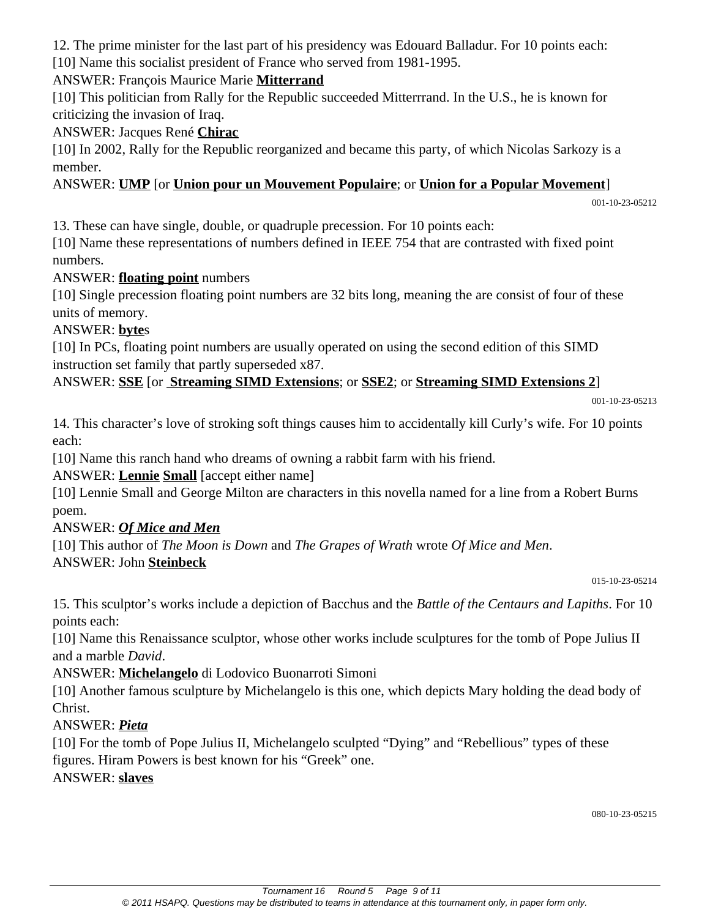12. The prime minister for the last part of his presidency was Edouard Balladur. For 10 points each: [10] Name this socialist president of France who served from 1981-1995.

#### ANSWER: François Maurice Marie **Mitterrand**

[10] This politician from Rally for the Republic succeeded Mitterrrand. In the U.S., he is known for criticizing the invasion of Iraq.

#### ANSWER: Jacques René **Chirac**

[10] In 2002, Rally for the Republic reorganized and became this party, of which Nicolas Sarkozy is a member.

#### ANSWER: **UMP** [or **Union pour un Mouvement Populaire**; or **Union for a Popular Movement**]

001-10-23-05212

13. These can have single, double, or quadruple precession. For 10 points each:

[10] Name these representations of numbers defined in IEEE 754 that are contrasted with fixed point numbers.

#### ANSWER: **floating point** numbers

[10] Single precession floating point numbers are 32 bits long, meaning the are consist of four of these units of memory.

#### ANSWER: **byte**s

[10] In PCs, floating point numbers are usually operated on using the second edition of this SIMD instruction set family that partly superseded x87.

#### ANSWER: **SSE** [or **Streaming SIMD Extensions**; or **SSE2**; or **Streaming SIMD Extensions 2**]

001-10-23-05213

14. This character's love of stroking soft things causes him to accidentally kill Curly's wife. For 10 points each:

[10] Name this ranch hand who dreams of owning a rabbit farm with his friend.

ANSWER: **Lennie Small** [accept either name]

[10] Lennie Small and George Milton are characters in this novella named for a line from a Robert Burns poem.

#### ANSWER: *Of Mice and Men*

[10] This author of *The Moon is Down* and *The Grapes of Wrath* wrote *Of Mice and Men*. ANSWER: John **Steinbeck**

015-10-23-05214

15. This sculptor's works include a depiction of Bacchus and the *Battle of the Centaurs and Lapiths*. For 10 points each:

[10] Name this Renaissance sculptor, whose other works include sculptures for the tomb of Pope Julius II and a marble *David*.

ANSWER: **Michelangelo** di Lodovico Buonarroti Simoni

[10] Another famous sculpture by Michelangelo is this one, which depicts Mary holding the dead body of Christ.

#### ANSWER: *Pieta*

[10] For the tomb of Pope Julius II, Michelangelo sculpted "Dying" and "Rebellious" types of these figures. Hiram Powers is best known for his "Greek" one.

#### ANSWER: **slaves**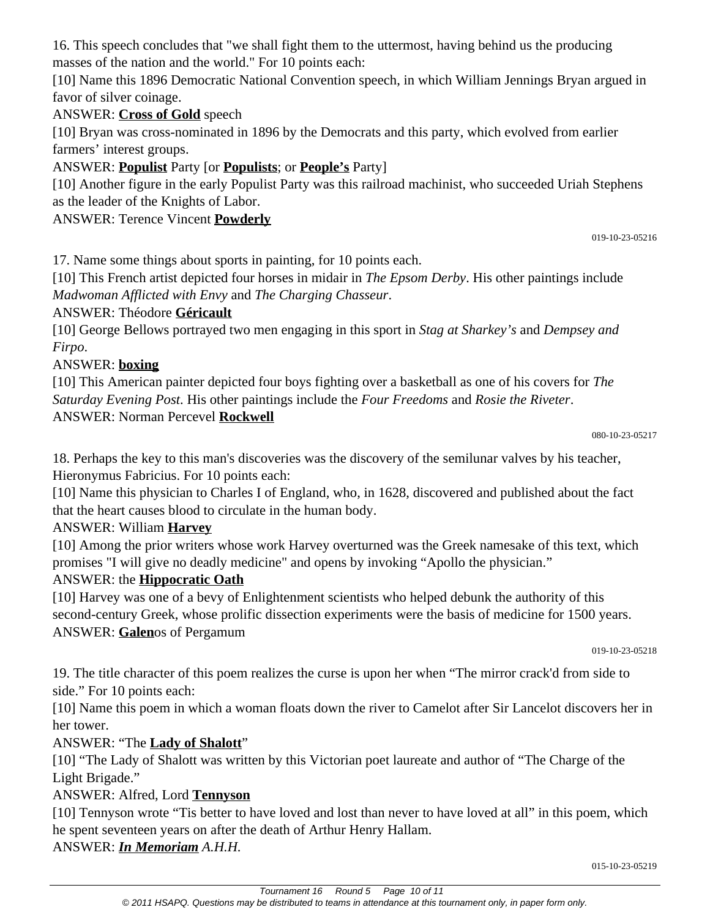16. This speech concludes that "we shall fight them to the uttermost, having behind us the producing masses of the nation and the world." For 10 points each:

[10] Name this 1896 Democratic National Convention speech, in which William Jennings Bryan argued in favor of silver coinage.

# ANSWER: **Cross of Gold** speech

[10] Bryan was cross-nominated in 1896 by the Democrats and this party, which evolved from earlier farmers' interest groups.

## ANSWER: **Populist** Party [or **Populists**; or **People's** Party]

[10] Another figure in the early Populist Party was this railroad machinist, who succeeded Uriah Stephens as the leader of the Knights of Labor.

# ANSWER: Terence Vincent **Powderly**

019-10-23-05216

17. Name some things about sports in painting, for 10 points each.

[10] This French artist depicted four horses in midair in *The Epsom Derby*. His other paintings include *Madwoman Afflicted with Envy* and *The Charging Chasseur*.

# ANSWER: Théodore **Géricault**

[10] George Bellows portrayed two men engaging in this sport in *Stag at Sharkey's* and *Dempsey and Firpo*.

# ANSWER: **boxing**

[10] This American painter depicted four boys fighting over a basketball as one of his covers for *The Saturday Evening Post*. His other paintings include the *Four Freedoms* and *Rosie the Riveter*. ANSWER: Norman Percevel **Rockwell**

```
080-10-23-05217
```
18. Perhaps the key to this man's discoveries was the discovery of the semilunar valves by his teacher, Hieronymus Fabricius. For 10 points each:

[10] Name this physician to Charles I of England, who, in 1628, discovered and published about the fact that the heart causes blood to circulate in the human body.

## ANSWER: William **Harvey**

[10] Among the prior writers whose work Harvey overturned was the Greek namesake of this text, which promises "I will give no deadly medicine" and opens by invoking "Apollo the physician."

## ANSWER: the **Hippocratic Oath**

[10] Harvey was one of a bevy of Enlightenment scientists who helped debunk the authority of this second-century Greek, whose prolific dissection experiments were the basis of medicine for 1500 years. ANSWER: **Galen**os of Pergamum

019-10-23-05218

19. The title character of this poem realizes the curse is upon her when "The mirror crack'd from side to side." For 10 points each:

[10] Name this poem in which a woman floats down the river to Camelot after Sir Lancelot discovers her in her tower.

## ANSWER: "The **Lady of Shalott**"

[10] "The Lady of Shalott was written by this Victorian poet laureate and author of "The Charge of the Light Brigade."

## ANSWER: Alfred, Lord **Tennyson**

[10] Tennyson wrote "Tis better to have loved and lost than never to have loved at all" in this poem, which he spent seventeen years on after the death of Arthur Henry Hallam.

ANSWER: *In Memoriam A.H.H.*